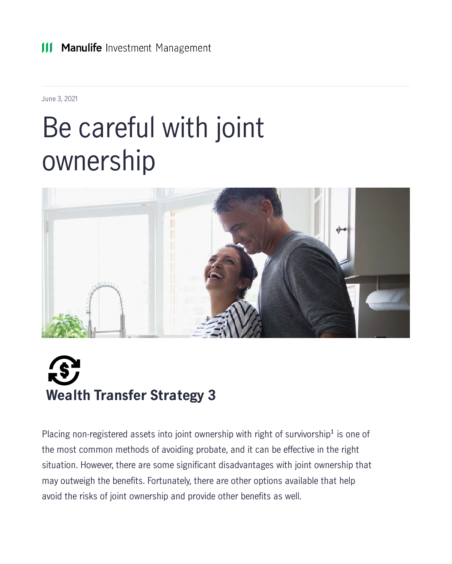June 3, 2021

#### Be careful with joint ownership





Placing non-registered assets into joint ownership with right of survivorship<sup>1</sup> is one of the most common methods of avoiding probate, and it can be effective in the right situation. However, there are some significant disadvantages with joint ownership that may outweigh the benefits. Fortunately, there are other options available that help avoid the risks of joint ownership and provide other benefits as well.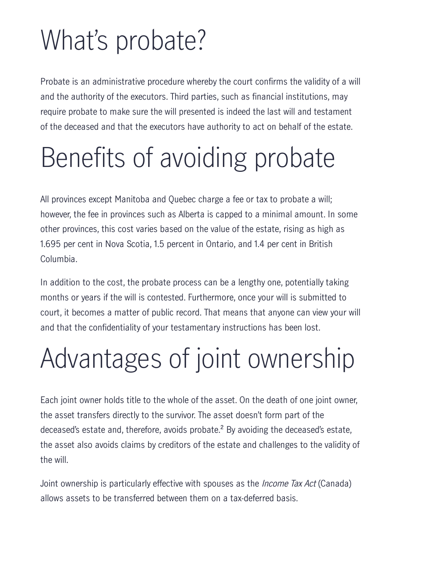# What's probate?

Probate is an administrative procedure whereby the court confirms the validity of a will and the authority of the executors. Third parties, such as financial institutions, may require probate to make sure the will presented is indeed the last will and testament of the deceased and that the executors have authority to act on behalf of the estate.

### Benefits of avoiding probate

All provinces except Manitoba and Quebec charge a fee or tax to probate a will; however, the fee in provinces such as Alberta is capped to a minimal amount. In some other provinces, this cost varies based on the value of the estate, rising as high as 1.695 per cent in Nova Scotia, 1.5 percent in Ontario, and 1.4 per cent in British Columbia.

In addition to the cost, the probate process can be a lengthy one, potentially taking months or years if the will is contested. Furthermore, once your will is submitted to court, it becomes a matter of public record. That means that anyone can view your will and that the confidentiality of your testamentary instructions has been lost.

# Advantages of joint ownership

Each joint owner holds title to the whole of the asset. On the death of one joint owner, the asset transfers directly to the survivor. The asset doesn't form part of the deceased's estate and, therefore, avoids probate.² By avoiding the deceased's estate, the asset also avoids claims by creditors of the estate and challenges to the validity of the will.

Joint ownership is particularly effective with spouses as the *Income Tax Act* (Canada) allows assets to be transferred between them on a tax-deferred basis.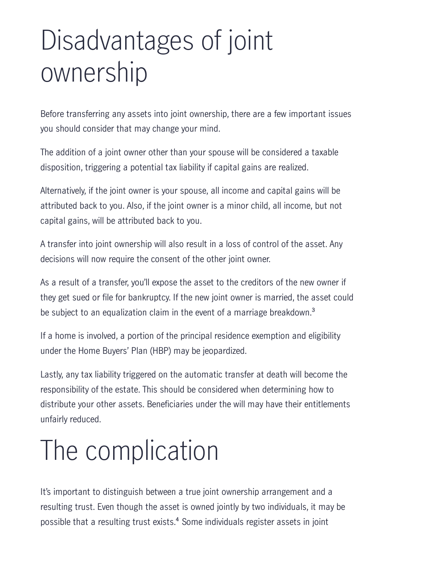## Disadvantages of joint ownership

Before transferring any assets into joint ownership, there are a few important issues you should consider that may change your mind.

The addition of a joint owner other than your spouse will be considered a taxable disposition, triggering a potential tax liability if capital gains are realized.

Alternatively, if the joint owner is your spouse, all income and capital gains will be attributed back to you. Also, if the joint owner is a minor child, all income, but not capital gains, will be attributed back to you.

A transfer into joint ownership will also result in a loss of control of the asset. Any decisions will now require the consent of the other joint owner.

As a result of a transfer, you'll expose the asset to the creditors of the new owner if they get sued or file for bankruptcy. If the new joint owner is married, the asset could be subject to an equalization claim in the event of a marriage breakdown.<sup>3</sup>

If a home is involved, a portion of the principal residence exemption and eligibility under the Home Buyers' Plan (HBP) may be jeopardized.

Lastly, any tax liability triggered on the automatic transfer at death will become the responsibility of the estate. This should be considered when determining how to distribute your other assets. Beneficiaries under the will may have their entitlements unfairly reduced.

## The complication

It's important to distinguish between a true joint ownership arrangement and a resulting trust. Even though the asset is owned jointly by two individuals, it may be possible that a resulting trust exists.<sup>4</sup> Some individuals register assets in joint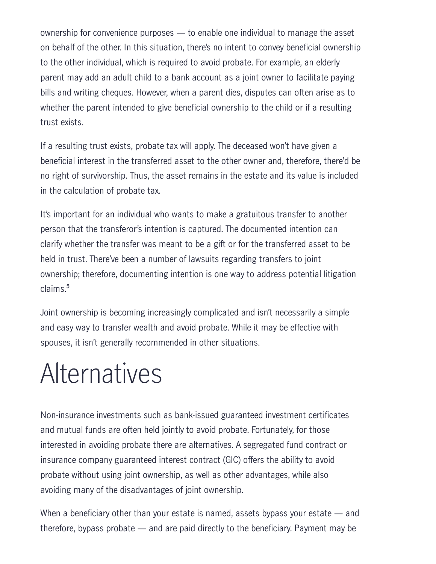ownership for convenience purposes — to enable one individual to manage the asset on behalf of the other. In this situation, there's no intent to convey beneficial ownership to the other individual, which is required to avoid probate. For example, an elderly parent may add an adult child to a bank account as a joint owner to facilitate paying bills and writing cheques. However, when a parent dies, disputes can often arise as to whether the parent intended to give beneficial ownership to the child or if a resulting trust exists.

If a resulting trust exists, probate tax will apply. The deceased won't have given a beneficial interest in the transferred asset to the other owner and, therefore, there'd be no right of survivorship. Thus, the asset remains in the estate and its value is included in the calculation of probate tax.

It's important for an individual who wants to make a gratuitous transfer to another person that the transferor's intention is captured. The documented intention can clarify whether the transfer was meant to be a gift or for the transferred asset to be held in trust. There've been a number of lawsuits regarding transfers to joint ownership; therefore, documenting intention is one way to address potential litigation claims.<sup>5</sup>

Joint ownership is becoming increasingly complicated and isn't necessarily a simple and easy way to transfer wealth and avoid probate. While it may be effective with spouses, it isn't generally recommended in other situations.

#### Alternatives

Non-insurance investments such as bank-issued guaranteed investment certificates and mutual funds are often held jointly to avoid probate. Fortunately, for those interested in avoiding probate there are alternatives. A segregated fund contract or insurance company guaranteed interest contract (GIC) offers the ability to avoid probate without using joint ownership, as well as other advantages, while also avoiding many of the disadvantages of joint ownership.

When a beneficiary other than your estate is named, assets bypass your estate — and therefore, bypass probate — and are paid directly to the beneficiary. Payment may be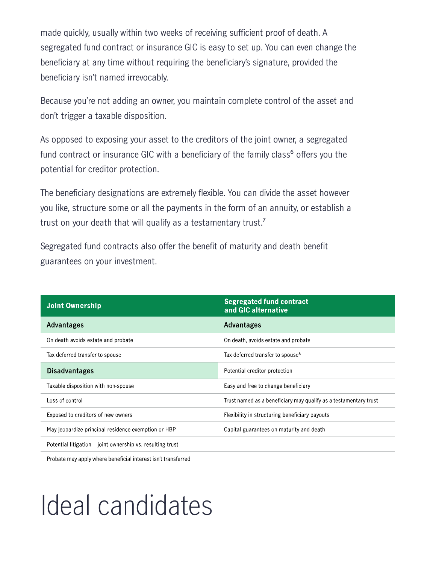made quickly, usually within two weeks of receiving sufficient proof of death. A segregated fund contract or insurance GIC is easy to set up. You can even change the beneficiary at any time without requiring the beneficiary's signature, provided the beneficiary isn't named irrevocably.

Because you're not adding an owner, you maintain complete control of the asset and don't trigger a taxable disposition.

As opposed to exposing your asset to the creditors of the joint owner, a segregated fund contract or insurance GIC with a beneficiary of the family class<sup>6</sup> offers you the potential for creditor protection.

The beneficiary designations are extremely flexible. You can divide the asset however you like, structure some or all the payments in the form of an annuity, or establish a trust on your death that will qualify as a testamentary trust.<sup>7</sup>

Segregated fund contracts also offer the benefit of maturity and death benefit guarantees on your investment.

| <b>Joint Ownership</b>                                        | <b>Segregated fund contract</b><br>and GIC alternative           |
|---------------------------------------------------------------|------------------------------------------------------------------|
| Advantages                                                    | Advantages                                                       |
| On death avoids estate and probate                            | On death, avoids estate and probate                              |
| Tax-deferred transfer to spouse                               | Tax-deferred transfer to spouse <sup>8</sup>                     |
| <b>Disadvantages</b>                                          | Potential creditor protection                                    |
| Taxable disposition with non-spouse                           | Easy and free to change beneficiary                              |
| Loss of control                                               | Trust named as a beneficiary may qualify as a testamentary trust |
| Exposed to creditors of new owners                            | Flexibility in structuring beneficiary payouts                   |
| May jeopardize principal residence exemption or HBP           | Capital guarantees on maturity and death                         |
| Potential litigation – joint ownership vs. resulting trust    |                                                                  |
| Probate may apply where beneficial interest isn't transferred |                                                                  |

### Ideal candidates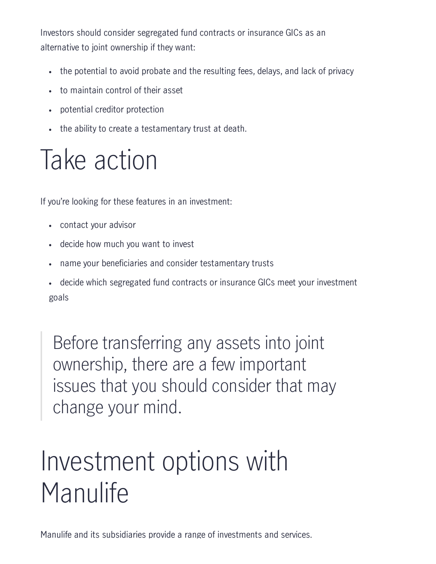Investors should consider segregated fund contracts or insurance GICs as an alternative to joint ownership if they want:

- the potential to avoid probate and the resulting fees, delays, and lack of privacy
- to maintain control of their asset
- potential creditor protection
- the ability to create a testamentary trust at death.

## Take action

If you're looking for these features in an investment:

- contact your advisor
- decide how much you want to invest  $\bullet$
- name your beneficiaries and consider testamentary trusts
- decide which segregated fund contracts or insurance GICs meet your investment goals

Before transferring any assets into joint ownership, there are a few important issues that you should consider that may change your mind.

## Investment options with Manulife

Manulife and its subsidiaries provide a range of investments and services.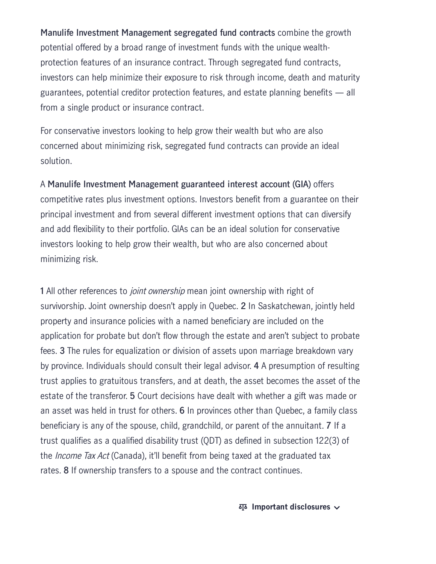**Manulife Investment Management segregated fund contracts** combine the growth potential offered by a broad range of investment funds with the unique wealthprotection features of an insurance contract. Through segregated fund contracts, investors can help minimize their exposure to risk through income, death and maturity guarantees, potential creditor protection features, and estate planning benefits — all from a single product or insurance contract.

For conservative investors looking to help grow their wealth but who are also concerned about minimizing risk, segregated fund contracts can provide an ideal solution.

A **Manulife Investment Management guaranteed interest account (GIA)** offers competitive rates plus investment options. Investors benefit from a guarantee on their principal investment and from several different investment options that can diversify and add flexibility to their portfolio. GIAs can be an ideal solution for conservative investors looking to help grow their wealth, but who are also concerned about minimizing risk.

**1** All other references to joint ownership mean joint ownership with right of survivorship. Joint ownership doesn't apply in Quebec. **2** In Saskatchewan, jointly held property and insurance policies with a named beneficiary are included on the application for probate but don't flow through the estate and aren't subject to probate fees. **3** The rules for equalization or division of assets upon marriage breakdown vary by province. Individuals should consult their legal advisor. **4** A presumption of resulting trust applies to gratuitous transfers, and at death, the asset becomes the asset of the estate of the transferor. **5** Court decisions have dealt with whether a gift was made or an asset was held in trust for others. **6** In provinces other than Quebec, a family class beneficiary is any of the spouse, child, grandchild, or parent of the annuitant. **7** If a trust qualifies as a qualified disability trust (QDT) as defined in subsection 122(3) of the Income Tax Act (Canada), it'll benefit from being taxed at the graduated tax rates. **8** If ownership transfers to a spouse and the contract continues.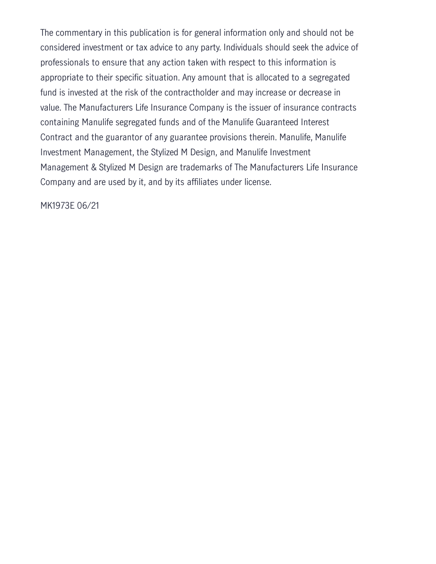The commentary in this publication is for general information only and should not be considered investment or tax advice to any party. Individuals should seek the advice of professionals to ensure that any action taken with respect to this information is appropriate to their specific situation. Any amount that is allocated to a segregated fund is invested at the risk of the contractholder and may increase or decrease in value. The Manufacturers Life Insurance Company is the issuer of insurance contracts containing Manulife segregated funds and of the Manulife Guaranteed Interest Contract and the guarantor of any guarantee provisions therein. Manulife, Manulife Investment Management, the Stylized M Design, and Manulife Investment Management & Stylized M Design are trademarks of The Manufacturers Life Insurance Company and are used by it, and by its affiliates under license.

MK1973E 06/21